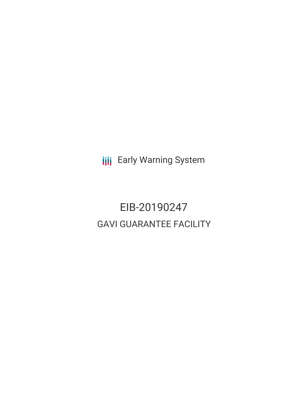**III** Early Warning System

# EIB-20190247 GAVI GUARANTEE FACILITY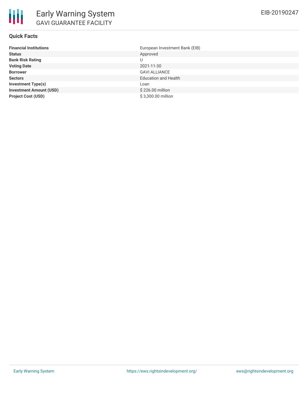# **Quick Facts**

| <b>Financial Institutions</b>  | European Investment Bank (EIB) |
|--------------------------------|--------------------------------|
| <b>Status</b>                  | Approved                       |
| <b>Bank Risk Rating</b>        | U                              |
| <b>Voting Date</b>             | 2021-11-30                     |
| <b>Borrower</b>                | <b>GAVI ALLIANCE</b>           |
| <b>Sectors</b>                 | <b>Education and Health</b>    |
| <b>Investment Type(s)</b>      | Loan                           |
| <b>Investment Amount (USD)</b> | \$226.00 million               |
| <b>Project Cost (USD)</b>      | \$3,300.00 million             |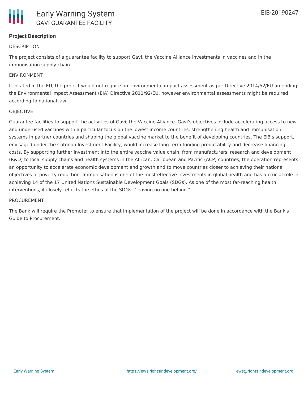# **Project Description**

#### **DESCRIPTION**

The project consists of a guarantee facility to support Gavi, the Vaccine Alliance investments in vaccines and in the immunisation supply chain.

#### ENVIRONMENT

If located in the EU, the project would not require an environmental impact assessment as per Directive 2014/52/EU amending the Environmental Impact Assessment (EIA) Directive 2011/92/EU, however environmental assessments might be required according to national law.

#### **OBIECTIVE**

Guarantee facilities to support the activities of Gavi, the Vaccine Alliance. Gavi's objectives include accelerating access to new and underused vaccines with a particular focus on the lowest income countries, strengthening health and immunisation systems in partner countries and shaping the global vaccine market to the benefit of developing countries. The EIB's support, envisaged under the Cotonou Investment Facility, would increase long term funding predictability and decrease financing costs. By supporting further investment into the entire vaccine value chain, from manufacturers' research and development (R&D) to local supply chains and health systems in the African, Caribbean and Pacific (ACP) countries, the operation represents an opportunity to accelerate economic development and growth and to move countries closer to achieving their national objectives of poverty reduction. Immunisation is one of the most effective investments in global health and has a crucial role in achieving 14 of the 17 United Nations Sustainable Development Goals (SDGs). As one of the most far-reaching health interventions, it closely reflects the ethos of the SDGs: "leaving no one behind."

#### PROCUREMENT

The Bank will require the Promoter to ensure that implementation of the project will be done in accordance with the Bank's Guide to Procurement.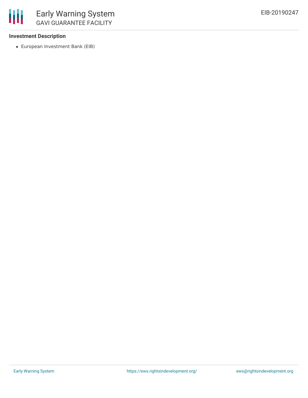

### **Investment Description**

European Investment Bank (EIB)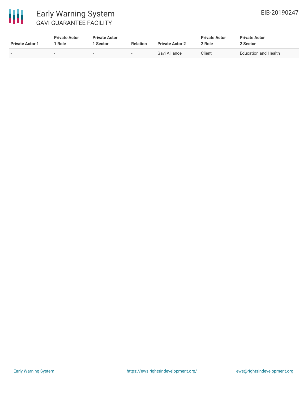

# Early Warning System GAVI GUARANTEE FACILITY

| <b>Private Actor 1</b> | <b>Private Actor</b><br>Role | <b>Private Actor</b><br>  Sector | <b>Relation</b> | <b>Private Actor 2</b> | <b>Private Actor</b><br>? Role | <b>Private Actor</b><br>2 Sector |
|------------------------|------------------------------|----------------------------------|-----------------|------------------------|--------------------------------|----------------------------------|
| $\sim$                 |                              | $\overline{\phantom{a}}$         | $\sim$          | Gavi Alliance          | Client                         | <b>Education and Health</b>      |